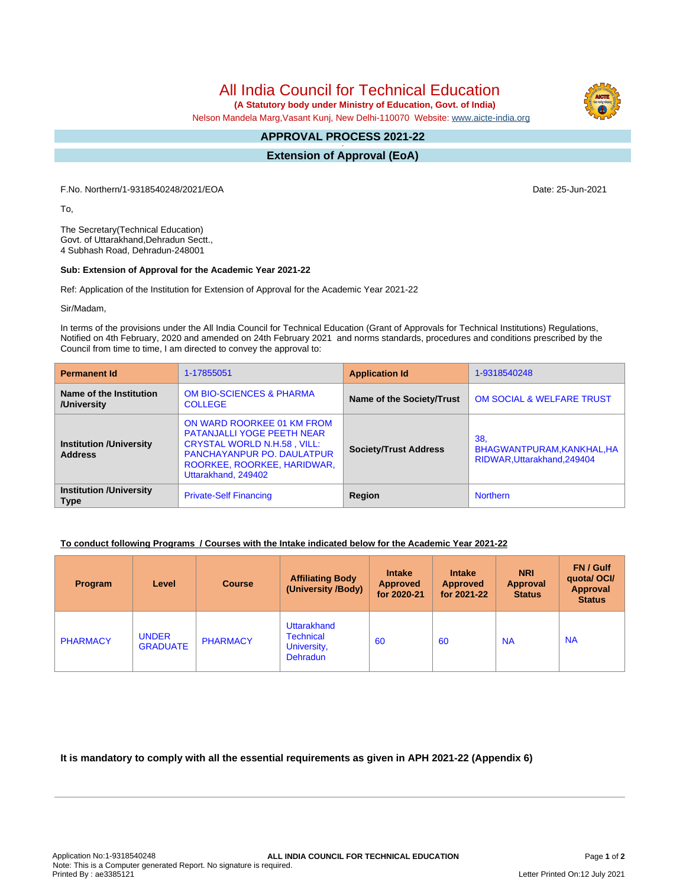All India Council for Technical Education

 **(A Statutory body under Ministry of Education, Govt. of India)**

Nelson Mandela Marg,Vasant Kunj, New Delhi-110070 Website: [www.aicte-india.org](http://www.aicte-india.org)

## **APPROVAL PROCESS 2021-22 -**

**Extension of Approval (EoA)**

F.No. Northern/1-9318540248/2021/EOA Date: 25-Jun-2021

To,

The Secretary(Technical Education) Govt. of Uttarakhand,Dehradun Sectt., 4 Subhash Road, Dehradun-248001

## **Sub: Extension of Approval for the Academic Year 2021-22**

Ref: Application of the Institution for Extension of Approval for the Academic Year 2021-22

Sir/Madam,

In terms of the provisions under the All India Council for Technical Education (Grant of Approvals for Technical Institutions) Regulations, Notified on 4th February, 2020 and amended on 24th February 2021 and norms standards, procedures and conditions prescribed by the Council from time to time, I am directed to convey the approval to:

| <b>Permanent Id</b>                              | 1-17855051                                                                                                                                                                                       | <b>Application Id</b>        | 1-9318540248                                                     |  |
|--------------------------------------------------|--------------------------------------------------------------------------------------------------------------------------------------------------------------------------------------------------|------------------------------|------------------------------------------------------------------|--|
| Name of the Institution<br>/University           | <b>OM BIO-SCIENCES &amp; PHARMA</b><br><b>COLLEGE</b>                                                                                                                                            | Name of the Society/Trust    | <b>OM SOCIAL &amp; WELFARE TRUST</b>                             |  |
| <b>Institution /University</b><br><b>Address</b> | ON WARD ROORKEE 01 KM FROM<br><b>PATANJALLI YOGE PEETH NEAR</b><br><b>CRYSTAL WORLD N.H.58, VILL:</b><br><b>PANCHAYANPUR PO. DAULATPUR</b><br>ROORKEE, ROORKEE, HARIDWAR,<br>Uttarakhand, 249402 | <b>Society/Trust Address</b> | 38.<br>BHAGWANTPURAM, KANKHAL, HA<br>RIDWAR, Uttarakhand, 249404 |  |
| <b>Institution /University</b><br><b>Type</b>    | <b>Private-Self Financing</b>                                                                                                                                                                    | Region                       | <b>Northern</b>                                                  |  |

## **To conduct following Programs / Courses with the Intake indicated below for the Academic Year 2021-22**

| Program         | Level                           | <b>Course</b>   | <b>Affiliating Body</b><br>(University /Body)              | <b>Intake</b><br><b>Approved</b><br>for 2020-21 | <b>Intake</b><br><b>Approved</b><br>for 2021-22 | <b>NRI</b><br>Approval<br><b>Status</b> | <b>FN/Gulf</b><br>quotal OCI/<br><b>Approval</b><br><b>Status</b> |
|-----------------|---------------------------------|-----------------|------------------------------------------------------------|-------------------------------------------------|-------------------------------------------------|-----------------------------------------|-------------------------------------------------------------------|
| <b>PHARMACY</b> | <b>UNDER</b><br><b>GRADUATE</b> | <b>PHARMACY</b> | Uttarakhand<br>Technical<br>University,<br><b>Dehradun</b> | 60                                              | 60                                              | <b>NA</b>                               | <b>NA</b>                                                         |

**It is mandatory to comply with all the essential requirements as given in APH 2021-22 (Appendix 6)**